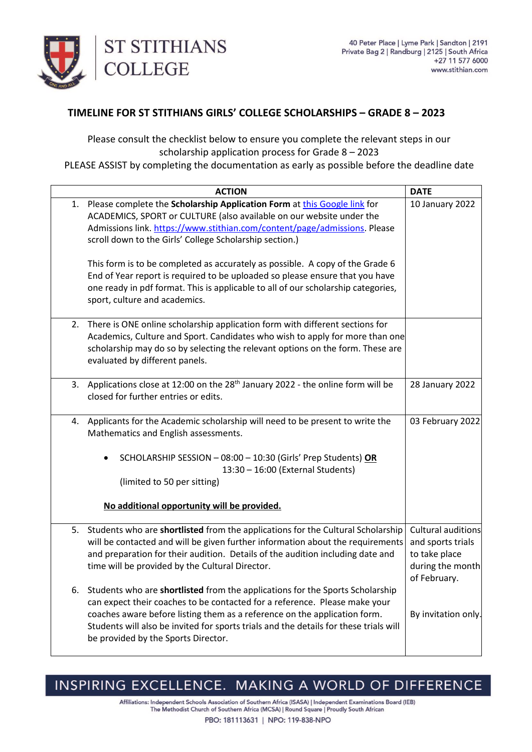

## **TIMELINE FOR ST STITHIANS GIRLS' COLLEGE SCHOLARSHIPS – GRADE 8 – 2023**

Please consult the checklist below to ensure you complete the relevant steps in our scholarship application process for Grade 8 – 2023

PLEASE ASSIST by completing the documentation as early as possible before the deadline date

|    | <b>ACTION</b>                                                                                                                                                                                                                                                                                                                                                            | <b>DATE</b>                                                                                  |
|----|--------------------------------------------------------------------------------------------------------------------------------------------------------------------------------------------------------------------------------------------------------------------------------------------------------------------------------------------------------------------------|----------------------------------------------------------------------------------------------|
| 1. | Please complete the Scholarship Application Form at this Google link for<br>ACADEMICS, SPORT or CULTURE (also available on our website under the<br>Admissions link. https://www.stithian.com/content/page/admissions. Please<br>scroll down to the Girls' College Scholarship section.)                                                                                 | 10 January 2022                                                                              |
|    | This form is to be completed as accurately as possible. A copy of the Grade 6<br>End of Year report is required to be uploaded so please ensure that you have<br>one ready in pdf format. This is applicable to all of our scholarship categories,<br>sport, culture and academics.                                                                                      |                                                                                              |
| 2. | There is ONE online scholarship application form with different sections for<br>Academics, Culture and Sport. Candidates who wish to apply for more than one<br>scholarship may do so by selecting the relevant options on the form. These are<br>evaluated by different panels.                                                                                         |                                                                                              |
|    | 3. Applications close at 12:00 on the 28 <sup>th</sup> January 2022 - the online form will be<br>closed for further entries or edits.                                                                                                                                                                                                                                    | 28 January 2022                                                                              |
| 4. | Applicants for the Academic scholarship will need to be present to write the<br>Mathematics and English assessments.                                                                                                                                                                                                                                                     | 03 February 2022                                                                             |
|    | SCHOLARSHIP SESSION - 08:00 - 10:30 (Girls' Prep Students) OR<br>13:30 - 16:00 (External Students)<br>(limited to 50 per sitting)                                                                                                                                                                                                                                        |                                                                                              |
|    | No additional opportunity will be provided.                                                                                                                                                                                                                                                                                                                              |                                                                                              |
| 5. | Students who are shortlisted from the applications for the Cultural Scholarship<br>will be contacted and will be given further information about the requirements<br>and preparation for their audition. Details of the audition including date and<br>time will be provided by the Cultural Director.                                                                   | Cultural auditions<br>and sports trials<br>to take place<br>during the month<br>of February. |
| 6. | Students who are shortlisted from the applications for the Sports Scholarship<br>can expect their coaches to be contacted for a reference. Please make your<br>coaches aware before listing them as a reference on the application form.<br>Students will also be invited for sports trials and the details for these trials will<br>be provided by the Sports Director. | By invitation only.                                                                          |

## INSPIRING EXCELLENCE. MAKING A WORLD OF DIFFERENCE